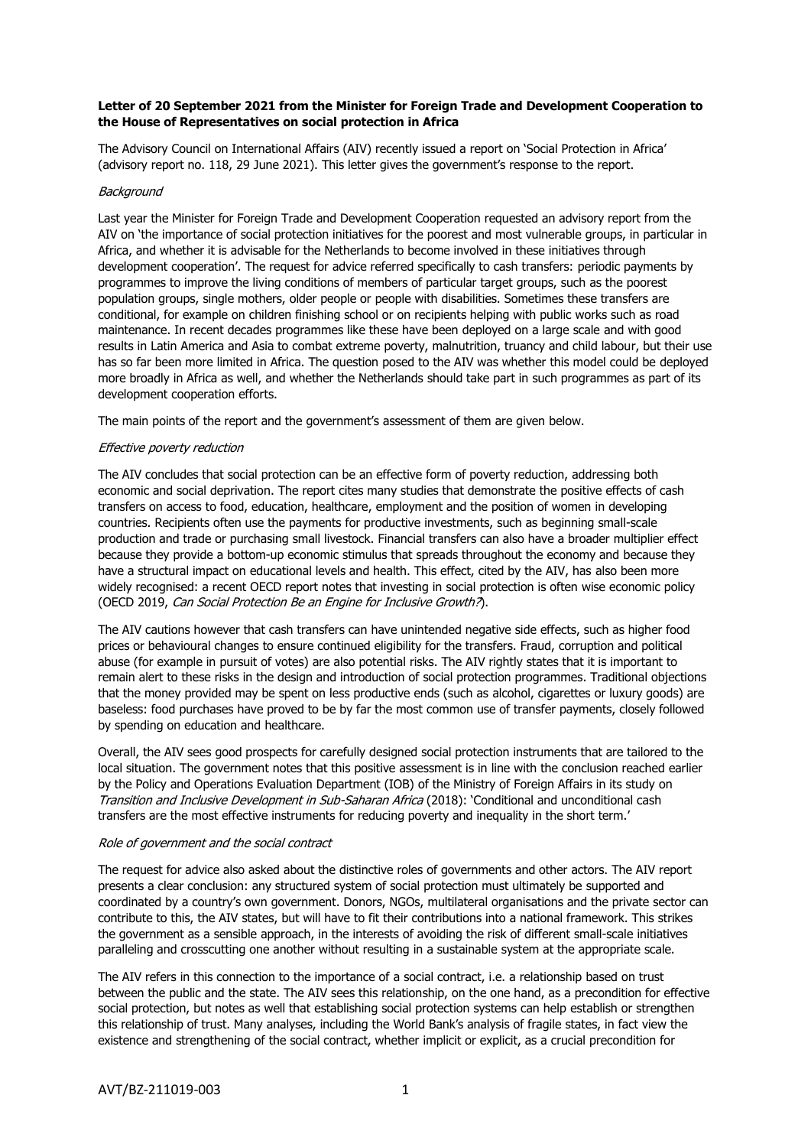# **Letter of 20 September 2021 from the Minister for Foreign Trade and Development Cooperation to the House of Representatives on social protection in Africa**

The Advisory Council on International Affairs (AIV) recently issued a report on 'Social Protection in Africa' (advisory report no. 118, 29 June 2021). This letter gives the government's response to the report.

# **Background**

Last year the Minister for Foreign Trade and Development Cooperation requested an advisory report from the AIV on 'the importance of social protection initiatives for the poorest and most vulnerable groups, in particular in Africa, and whether it is advisable for the Netherlands to become involved in these initiatives through development cooperation'. The request for advice referred specifically to cash transfers: periodic payments by programmes to improve the living conditions of members of particular target groups, such as the poorest population groups, single mothers, older people or people with disabilities. Sometimes these transfers are conditional, for example on children finishing school or on recipients helping with public works such as road maintenance. In recent decades programmes like these have been deployed on a large scale and with good results in Latin America and Asia to combat extreme poverty, malnutrition, truancy and child labour, but their use has so far been more limited in Africa. The question posed to the AIV was whether this model could be deployed more broadly in Africa as well, and whether the Netherlands should take part in such programmes as part of its development cooperation efforts.

The main points of the report and the government's assessment of them are given below.

### Effective poverty reduction

The AIV concludes that social protection can be an effective form of poverty reduction, addressing both economic and social deprivation. The report cites many studies that demonstrate the positive effects of cash transfers on access to food, education, healthcare, employment and the position of women in developing countries. Recipients often use the payments for productive investments, such as beginning small-scale production and trade or purchasing small livestock. Financial transfers can also have a broader multiplier effect because they provide a bottom-up economic stimulus that spreads throughout the economy and because they have a structural impact on educational levels and health. This effect, cited by the AIV, has also been more widely recognised: a recent OECD report notes that investing in social protection is often wise economic policy (OECD 2019, Can Social Protection Be an Engine for Inclusive Growth?).

The AIV cautions however that cash transfers can have unintended negative side effects, such as higher food prices or behavioural changes to ensure continued eligibility for the transfers. Fraud, corruption and political abuse (for example in pursuit of votes) are also potential risks. The AIV rightly states that it is important to remain alert to these risks in the design and introduction of social protection programmes. Traditional objections that the money provided may be spent on less productive ends (such as alcohol, cigarettes or luxury goods) are baseless: food purchases have proved to be by far the most common use of transfer payments, closely followed by spending on education and healthcare.

Overall, the AIV sees good prospects for carefully designed social protection instruments that are tailored to the local situation. The government notes that this positive assessment is in line with the conclusion reached earlier by the Policy and Operations Evaluation Department (IOB) of the Ministry of Foreign Affairs in its study on Transition and Inclusive Development in Sub-Saharan Africa (2018): 'Conditional and unconditional cash transfers are the most effective instruments for reducing poverty and inequality in the short term.'

#### Role of government and the social contract

The request for advice also asked about the distinctive roles of governments and other actors. The AIV report presents a clear conclusion: any structured system of social protection must ultimately be supported and coordinated by a country's own government. Donors, NGOs, multilateral organisations and the private sector can contribute to this, the AIV states, but will have to fit their contributions into a national framework. This strikes the government as a sensible approach, in the interests of avoiding the risk of different small-scale initiatives paralleling and crosscutting one another without resulting in a sustainable system at the appropriate scale.

The AIV refers in this connection to the importance of a social contract, i.e. a relationship based on trust between the public and the state. The AIV sees this relationship, on the one hand, as a precondition for effective social protection, but notes as well that establishing social protection systems can help establish or strengthen this relationship of trust. Many analyses, including the World Bank's analysis of fragile states, in fact view the existence and strengthening of the social contract, whether implicit or explicit, as a crucial precondition for